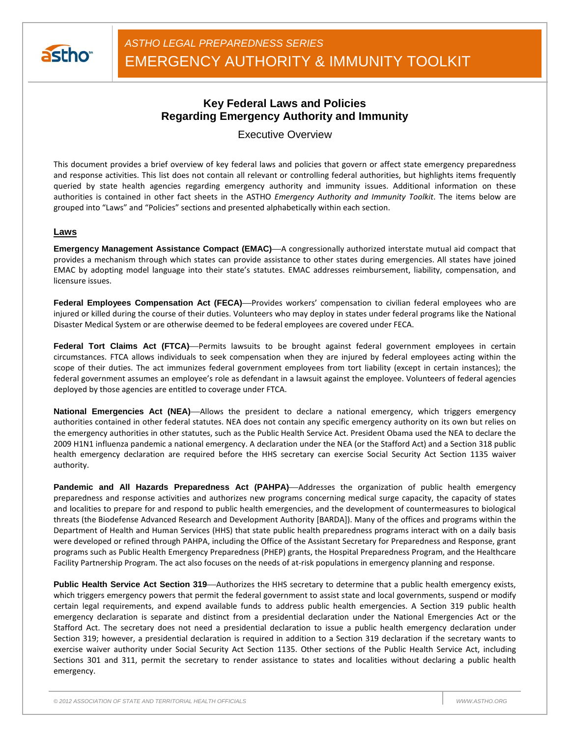

## **Key Federal Laws and Policies Regarding Emergency Authority and Immunity**

Executive Overview

This document provides a brief overview of key federal laws and policies that govern or affect state emergency preparedness and response activities. This list does not contain all relevant or controlling federal authorities, but highlights items frequently queried by state health agencies regarding emergency authority and immunity issues. Additional information on these authorities is contained in other fact sheets in the ASTHO *Emergency Authority and Immunity Toolkit*. The items below are grouped into "Laws" and "Policies" sections and presented alphabetically within each section.

## **Laws**

**Emergency Management Assistance Compact (EMAC)**—A congressionally authorized interstate mutual aid compact that provides a mechanism through which states can provide assistance to other states during emergencies. All states have joined EMAC by adopting model language into their state's statutes. EMAC addresses reimbursement, liability, compensation, and licensure issues.

**Federal Employees Compensation Act (FECA)**—Provides workers' compensation to civilian federal employees who are injured or killed during the course of their duties. Volunteers who may deploy in states under federal programs like the National Disaster Medical System or are otherwise deemed to be federal employees are covered under FECA.

**Federal Tort Claims Act (FTCA)**—Permits lawsuits to be brought against federal government employees in certain circumstances. FTCA allows individuals to seek compensation when they are injured by federal employees acting within the scope of their duties. The act immunizes federal government employees from tort liability (except in certain instances); the federal government assumes an employee's role as defendant in a lawsuit against the employee. Volunteers of federal agencies deployed by those agencies are entitled to coverage under FTCA.

**National Emergencies Act (NEA)**—Allows the president to declare a national emergency, which triggers emergency authorities contained in other federal statutes. NEA does not contain any specific emergency authority on its own but relies on the emergency authorities in other statutes, such as the Public Health Service Act. President Obama used the NEA to declare the 2009 H1N1 influenza pandemic a national emergency. A declaration under the NEA (or the Stafford Act) and a Section 318 public health emergency declaration are required before the HHS secretary can exercise Social Security Act Section 1135 waiver authority.

**Pandemic and All Hazards Preparedness Act (PAHPA)**—Addresses the organization of public health emergency preparedness and response activities and authorizes new programs concerning medical surge capacity, the capacity of states and localities to prepare for and respond to public health emergencies, and the development of countermeasures to biological threats (the Biodefense Advanced Research and Development Authority [BARDA]). Many of the offices and programs within the Department of Health and Human Services (HHS) that state public health preparedness programs interact with on a daily basis were developed or refined through PAHPA, including the Office of the Assistant Secretary for Preparedness and Response, grant programs such as Public Health Emergency Preparedness (PHEP) grants, the Hospital Preparedness Program, and the Healthcare Facility Partnership Program. The act also focuses on the needs of at-risk populations in emergency planning and response.

**Public Health Service Act Section 319**—Authorizes the HHS secretary to determine that a public health emergency exists, which triggers emergency powers that permit the federal government to assist state and local governments, suspend or modify certain legal requirements, and expend available funds to address public health emergencies. A Section 319 public health emergency declaration is separate and distinct from a presidential declaration under the National Emergencies Act or the Stafford Act. The secretary does not need a presidential declaration to issue a public health emergency declaration under Section 319; however, a presidential declaration is required in addition to a Section 319 declaration if the secretary wants to exercise waiver authority under Social Security Act Section 1135. Other sections of the Public Health Service Act, including Sections 301 and 311, permit the secretary to render assistance to states and localities without declaring a public health emergency.